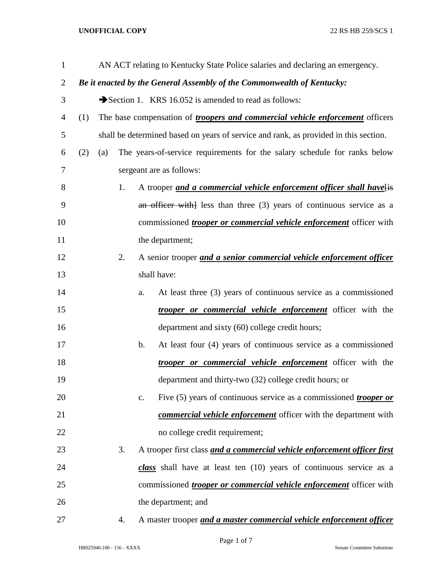## **UNOFFICIAL COPY** 22 RS HB 259/SCS 1

| $\mathbf{1}$   | AN ACT relating to Kentucky State Police salaries and declaring an emergency. |                                                                                      |    |    |                                                                            |
|----------------|-------------------------------------------------------------------------------|--------------------------------------------------------------------------------------|----|----|----------------------------------------------------------------------------|
| $\overline{c}$ |                                                                               | Be it enacted by the General Assembly of the Commonwealth of Kentucky:               |    |    |                                                                            |
| 3              |                                                                               | Section 1. KRS 16.052 is amended to read as follows:                                 |    |    |                                                                            |
| 4              | (1)                                                                           | The base compensation of <i>troopers and commercial vehicle enforcement</i> officers |    |    |                                                                            |
| 5              |                                                                               | shall be determined based on years of service and rank, as provided in this section. |    |    |                                                                            |
| 6              | (2)                                                                           | (a)                                                                                  |    |    | The years-of-service requirements for the salary schedule for ranks below  |
| 7              |                                                                               | sergeant are as follows:                                                             |    |    |                                                                            |
| 8              |                                                                               | A trooper and a commercial vehicle enforcement officer shall have[is<br>1.           |    |    |                                                                            |
| 9              |                                                                               |                                                                                      |    |    | an officer with less than three $(3)$ years of continuous service as a     |
| 10             |                                                                               | commissioned <i>trooper or commercial vehicle enforcement</i> officer with           |    |    |                                                                            |
| 11             |                                                                               | the department;                                                                      |    |    |                                                                            |
| 12             |                                                                               |                                                                                      | 2. |    | A senior trooper and a senior commercial vehicle enforcement officer       |
| 13             |                                                                               |                                                                                      |    |    | shall have:                                                                |
| 14             |                                                                               |                                                                                      |    | a. | At least three (3) years of continuous service as a commissioned           |
| 15             |                                                                               |                                                                                      |    |    | <i>trooper or commercial vehicle enforcement</i> officer with the          |
| 16             |                                                                               |                                                                                      |    |    | department and sixty (60) college credit hours;                            |
| 17             |                                                                               |                                                                                      |    | b. | At least four (4) years of continuous service as a commissioned            |
| 18             |                                                                               |                                                                                      |    |    | <i>trooper or commercial vehicle enforcement</i> officer with the          |
| 19             |                                                                               |                                                                                      |    |    | department and thirty-two (32) college credit hours; or                    |
| 20             |                                                                               |                                                                                      |    | c. | Five (5) years of continuous service as a commissioned <i>trooper or</i>   |
| 21             |                                                                               |                                                                                      |    |    | <b>commercial vehicle enforcement</b> officer with the department with     |
| 22             |                                                                               |                                                                                      |    |    | no college credit requirement;                                             |
| 23             |                                                                               |                                                                                      | 3. |    | A trooper first class and a commercial vehicle enforcement officer first   |
| 24             |                                                                               |                                                                                      |    |    | class shall have at least ten (10) years of continuous service as a        |
| 25             |                                                                               |                                                                                      |    |    | commissioned <i>trooper or commercial vehicle enforcement</i> officer with |
| 26             |                                                                               |                                                                                      |    |    | the department; and                                                        |
| 27             |                                                                               |                                                                                      | 4. |    | A master trooper and a master commercial vehicle enforcement officer       |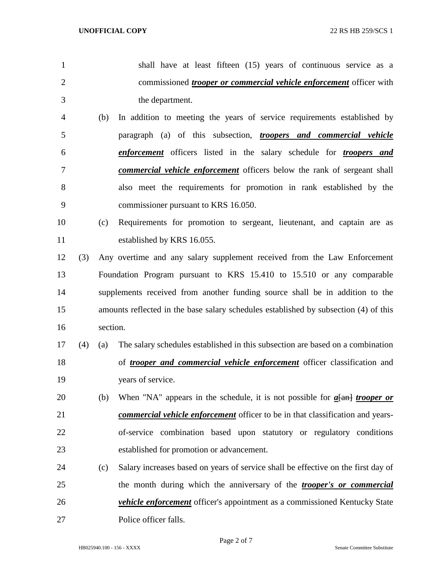- shall have at least fifteen (15) years of continuous service as a commissioned *trooper or commercial vehicle enforcement* officer with the department. (b) In addition to meeting the years of service requirements established by paragraph (a) of this subsection, *troopers and commercial vehicle enforcement* officers listed in the salary schedule for *troopers and*
- *commercial vehicle enforcement* officers below the rank of sergeant shall also meet the requirements for promotion in rank established by the commissioner pursuant to KRS 16.050.
- (c) Requirements for promotion to sergeant, lieutenant, and captain are as established by KRS 16.055.
- (3) Any overtime and any salary supplement received from the Law Enforcement Foundation Program pursuant to KRS 15.410 to 15.510 or any comparable supplements received from another funding source shall be in addition to the amounts reflected in the base salary schedules established by subsection (4) of this section.
- (4) (a) The salary schedules established in this subsection are based on a combination of *trooper and commercial vehicle enforcement* officer classification and years of service.
- (b) When "NA" appears in the schedule, it is not possible for *a*[an] *trooper or commercial vehicle enforcement* officer to be in that classification and years- of-service combination based upon statutory or regulatory conditions established for promotion or advancement.
- (c) Salary increases based on years of service shall be effective on the first day of the month during which the anniversary of the *trooper's or commercial vehicle enforcement* officer's appointment as a commissioned Kentucky State Police officer falls.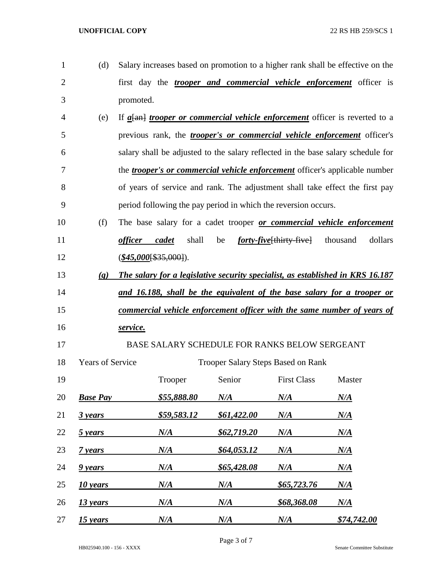| 1              | (d)                         |                |                          |             |                                                                | Salary increases based on promotion to a higher rank shall be effective on the        |
|----------------|-----------------------------|----------------|--------------------------|-------------|----------------------------------------------------------------|---------------------------------------------------------------------------------------|
| $\overline{2}$ |                             |                |                          |             |                                                                | first day the <i>trooper and commercial vehicle enforcement</i> officer is            |
| 3              |                             | promoted.      |                          |             |                                                                |                                                                                       |
| 4              | (e)                         |                |                          |             |                                                                | If $a$ [an] <i>trooper or commercial vehicle enforcement</i> officer is reverted to a |
| 5              |                             |                |                          |             |                                                                | previous rank, the <i>trooper's or commercial vehicle enforcement</i> officer's       |
| 6              |                             |                |                          |             |                                                                | salary shall be adjusted to the salary reflected in the base salary schedule for      |
| 7              |                             |                |                          |             |                                                                | the <i>trooper's or commercial vehicle enforcement</i> officer's applicable number    |
| 8              |                             |                |                          |             |                                                                | of years of service and rank. The adjustment shall take effect the first pay          |
| 9              |                             |                |                          |             | period following the pay period in which the reversion occurs. |                                                                                       |
| 10             | (f)                         |                |                          |             |                                                                | The base salary for a cadet trooper or commercial vehicle enforcement                 |
| 11             |                             | <i>officer</i> | shall<br>cadet           | be          | <i>forty-five</i> [thirty-five] thousand                       | dollars                                                                               |
| 12             |                             |                | $(\$45,000$ [\$35,000]). |             |                                                                |                                                                                       |
| 13             | $\left( \mathbf{g} \right)$ |                |                          |             |                                                                | The salary for a legislative security specialist, as established in KRS 16.187        |
| 14             |                             |                |                          |             |                                                                | <u>and 16.188, shall be the equivalent of the base salary for a trooper or</u>        |
| 15             |                             |                |                          |             |                                                                | <u>commercial vehicle enforcement officer with the same number of years of</u>        |
| 16             |                             | service.       |                          |             |                                                                |                                                                                       |
| 17             |                             |                |                          |             | BASE SALARY SCHEDULE FOR RANKS BELOW SERGEANT                  |                                                                                       |
| 18             | <b>Years of Service</b>     |                |                          |             | <b>Trooper Salary Steps Based on Rank</b>                      |                                                                                       |
| 19             |                             |                | Trooper                  | Senior      | <b>First Class</b>                                             | Master                                                                                |
| 20             | <b>Base Pay</b>             |                | <u>\$55,888.80</u>       | $N\!/\!A$   | $N\!/\!A$                                                      | $N\!/\!A$                                                                             |
| 21             | 3 years                     |                | \$59,583.12              | \$61,422.00 | $N\!/\!A$                                                      | $N\!/\!A$                                                                             |
| 22             | 5 years                     |                | $N\!/\!A$                | \$62,719.20 | N/A                                                            | $N\!/\!A$                                                                             |
| 23             | 7 years                     |                | N/A                      | \$64,053.12 | $N\!/\!A$                                                      | $N\!/\!A$                                                                             |
| 24             | 9 years                     |                | N/A                      | \$65,428.08 | $N\!/\!A$                                                      | $N\!/\!A$                                                                             |
| 25             | 10 years                    |                | N/A                      | $N\!/\!A$   | <u>\$65,723.76</u>                                             | $N\!/\!A$                                                                             |
| 26             | 13 years                    |                | N/A                      | N/A         | <u>\$68,368.08</u>                                             | $N\!/\!A$                                                                             |
| 27             | 15 years                    |                | N/A                      | N/A         | $N\!/\!A$                                                      | \$74,742.00                                                                           |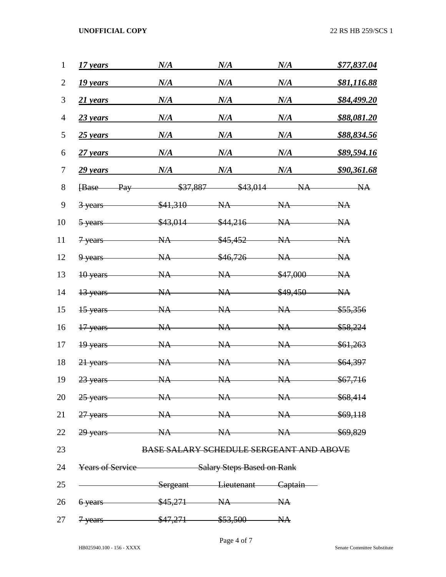**UNOFFICIAL COPY** 22 RS HB 259/SCS 1

| 1              | 17 years                                           | N/A                                            | N/A      | N/A      | \$77,837.04         |
|----------------|----------------------------------------------------|------------------------------------------------|----------|----------|---------------------|
| $\overline{2}$ | 19 years                                           | N/A                                            | N/A      | N/A      | \$81,116.88         |
| 3              | 21 years                                           | N/A                                            | N/A      | N/A      | \$84,499.20         |
| $\overline{4}$ | $23$ years                                         | N/A                                            | N/A      | N/A      | \$88,081.20         |
| 5              | $25$ years                                         | N/A                                            | N/A      | N/A      | \$88,834.56         |
| 6              | $27$ years                                         | N/A                                            | N/A      | N/A      | \$89,594.16         |
| 7              | 29 years                                           | N/A                                            | N/A      | N/A      | \$90,361.68         |
| 8              | Pay<br><b>Base</b>                                 | \$37,887                                       | \$43,014 | NA       | NA                  |
| 9              | 3 years                                            | \$41,310                                       | NA       | NA       | NA                  |
| 10             | 5-years                                            | \$43,014                                       | \$44,216 | NA       | NA                  |
| 11             | 7 years                                            | <b>NA</b>                                      | \$45,452 | NA       | NA                  |
| 12             | 9 years                                            | <b>NA</b>                                      | \$46,726 | NA       | NA                  |
| 13             | 10 years                                           | <b>NA</b>                                      | NA       | \$47,000 | NA                  |
| 14             | 13 years                                           | <b>NA</b>                                      | NA       | \$49,450 | NA                  |
| 15             | 15 years                                           | <b>NA</b>                                      | NA       | NA       | \$55,356            |
| 16             | 17 years                                           | NA                                             | NA       | NA       | <del>\$58,224</del> |
| 17             | 19 years                                           | NA                                             | NA       | NA       | \$61,263            |
| 18             | 21 years                                           | NA                                             | NA       | NA       | \$64,397            |
| 19             | 23 years                                           | NA                                             | NA       | NA       | \$67,716            |
|                | 20 25 years – NA NA NA \$68,414                    |                                                |          |          |                     |
|                | 21 27 years NA NA NA \$69,118                      |                                                |          |          |                     |
|                | 22 29 years – NA NA NA \$69,829                    |                                                |          |          |                     |
| 23             |                                                    | <b>BASE SALARY SCHEDULE SERGEANT AND ABOVE</b> |          |          |                     |
| 24             | <b>Years of Service</b> Salary Steps Based on Rank |                                                |          |          |                     |
| 25             | Sergeant Lieutenant Captain                        |                                                |          |          |                     |
|                | 26 6 years \$45,271 NA NA                          |                                                |          |          |                     |
|                | 27 <del>7 years \$47,271 \$53,500 NA</del>         |                                                |          |          |                     |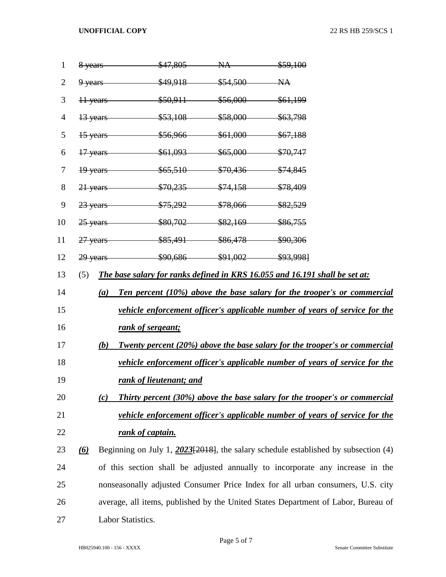**UNOFFICIAL COPY** 22 RS HB 259/SCS 1

| 1  | 8 years                                                                                  |                  | $$47.805$ NA $$59.100$         |                                                                                       |  |  |  |
|----|------------------------------------------------------------------------------------------|------------------|--------------------------------|---------------------------------------------------------------------------------------|--|--|--|
| 2  | $9$ years                                                                                | \$49,918         | $$54,500$ NA                   |                                                                                       |  |  |  |
| 3  | 11 years                                                                                 |                  | $$50.911$ $$56.000$ $$61.199$  |                                                                                       |  |  |  |
| 4  | 13 years                                                                                 |                  | $$53,108$ $$58,000$ $$63,798$  |                                                                                       |  |  |  |
| 5  | 15 years                                                                                 |                  | $$56,966$ $$61,000$ $$67,188$  |                                                                                       |  |  |  |
| 6  | 17 years                                                                                 |                  | $$61,093$ $$65,000$ $$70,747$  |                                                                                       |  |  |  |
| 7  | 19 years                                                                                 |                  | $$65,510$ $$70,436$ $$74,845$  |                                                                                       |  |  |  |
| 8  | 21 years                                                                                 |                  | $$70,235$ $$74,158$ $$78,409$  |                                                                                       |  |  |  |
| 9  | 23 years                                                                                 |                  | $$75,292$ $$78,066$ $$82,529$  |                                                                                       |  |  |  |
| 10 | $25$ years                                                                               |                  | $$80,702$ $$82,169$ $$86,755$  |                                                                                       |  |  |  |
| 11 | $27$ years                                                                               |                  | $$85,491$ $$86,478$ $$90,306$  |                                                                                       |  |  |  |
| 12 | 29 years                                                                                 |                  | $$90,686$ $$91,002$ $$93,9981$ |                                                                                       |  |  |  |
| 13 | (5)                                                                                      |                  |                                | The base salary for ranks defined in KRS 16.055 and 16.191 shall be set at:           |  |  |  |
| 14 | Ten percent (10%) above the base salary for the trooper's or commercial<br>(a)           |                  |                                |                                                                                       |  |  |  |
| 15 | vehicle enforcement officer's applicable number of years of service for the              |                  |                                |                                                                                       |  |  |  |
| 16 | rank of sergeant;                                                                        |                  |                                |                                                                                       |  |  |  |
| 17 | (b)<br><b>Twenty percent (20%) above the base salary for the trooper's or commercial</b> |                  |                                |                                                                                       |  |  |  |
| 18 | vehicle enforcement officer's applicable number of years of service for the              |                  |                                |                                                                                       |  |  |  |
| 19 | rank of lieutenant; and                                                                  |                  |                                |                                                                                       |  |  |  |
| 20 | Thirty percent (30%) above the base salary for the trooper's or commercial<br>(c)        |                  |                                |                                                                                       |  |  |  |
| 21 | vehicle enforcement officer's applicable number of years of service for the              |                  |                                |                                                                                       |  |  |  |
| 22 |                                                                                          | rank of captain. |                                |                                                                                       |  |  |  |
| 23 | $\left( 6\right)$                                                                        |                  |                                | Beginning on July 1, $2023[2018]$ , the salary schedule established by subsection (4) |  |  |  |
| 24 | of this section shall be adjusted annually to incorporate any increase in the            |                  |                                |                                                                                       |  |  |  |
| 25 | nonseasonally adjusted Consumer Price Index for all urban consumers, U.S. city           |                  |                                |                                                                                       |  |  |  |
| 26 | average, all items, published by the United States Department of Labor, Bureau of        |                  |                                |                                                                                       |  |  |  |
| 27 | Labor Statistics.                                                                        |                  |                                |                                                                                       |  |  |  |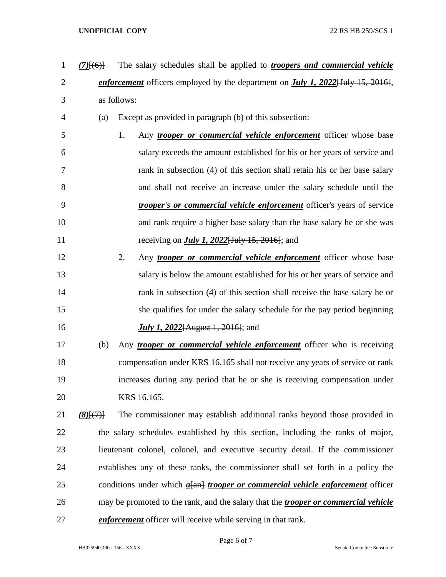- *(7)*[(6)] The salary schedules shall be applied to *troopers and commercial vehicle enforcement* officers employed by the department on *July 1, 2022*[July 15, 2016], as follows: (a) Except as provided in paragraph (b) of this subsection: 1. Any *trooper or commercial vehicle enforcement* officer whose base salary exceeds the amount established for his or her years of service and rank in subsection (4) of this section shall retain his or her base salary and shall not receive an increase under the salary schedule until the *trooper's or commercial vehicle enforcement* officer's years of service and rank require a higher base salary than the base salary he or she was receiving on *July 1, 2022*[July 15, 2016]; and 2. Any *trooper or commercial vehicle enforcement* officer whose base salary is below the amount established for his or her years of service and 14 rank in subsection (4) of this section shall receive the base salary he or she qualifies for under the salary schedule for the pay period beginning
- *July 1, 2022*[August 1, 2016]; and

 (b) Any *trooper or commercial vehicle enforcement* officer who is receiving compensation under KRS 16.165 shall not receive any years of service or rank increases during any period that he or she is receiving compensation under KRS 16.165.

 *(8)*[(7)] The commissioner may establish additional ranks beyond those provided in the salary schedules established by this section, including the ranks of major, lieutenant colonel, colonel, and executive security detail. If the commissioner establishes any of these ranks, the commissioner shall set forth in a policy the conditions under which *a*[an] *trooper or commercial vehicle enforcement* officer may be promoted to the rank, and the salary that the *trooper or commercial vehicle enforcement* officer will receive while serving in that rank.